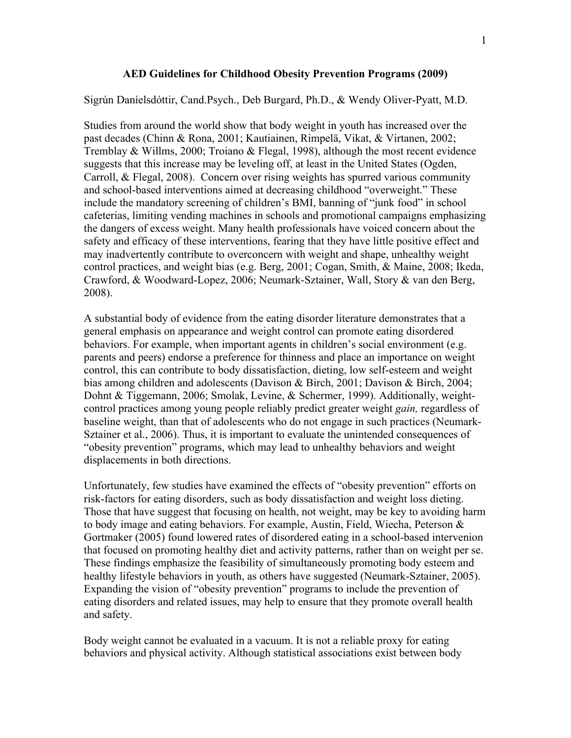## **AED Guidelines for Childhood Obesity Prevention Programs (2009)**

## Sigrún Daníelsdóttir, Cand.Psych., Deb Burgard, Ph.D., & Wendy Oliver-Pyatt, M.D.

Studies from around the world show that body weight in youth has increased over the past decades (Chinn & Rona, 2001; Kautiainen, Rimpelä, Vikat, & Virtanen, 2002; Tremblay & Willms, 2000; Troiano & Flegal, 1998), although the most recent evidence suggests that this increase may be leveling off, at least in the United States (Ogden, Carroll, & Flegal, 2008). Concern over rising weights has spurred various community and school-based interventions aimed at decreasing childhood "overweight." These include the mandatory screening of children's BMI, banning of "junk food" in school cafeterias, limiting vending machines in schools and promotional campaigns emphasizing the dangers of excess weight. Many health professionals have voiced concern about the safety and efficacy of these interventions, fearing that they have little positive effect and may inadvertently contribute to overconcern with weight and shape, unhealthy weight control practices, and weight bias (e.g. Berg, 2001; Cogan, Smith, & Maine, 2008; Ikeda, Crawford, & Woodward-Lopez, 2006; Neumark-Sztainer, Wall, Story & van den Berg, 2008).

A substantial body of evidence from the eating disorder literature demonstrates that a general emphasis on appearance and weight control can promote eating disordered behaviors. For example, when important agents in children's social environment (e.g. parents and peers) endorse a preference for thinness and place an importance on weight control, this can contribute to body dissatisfaction, dieting, low self-esteem and weight bias among children and adolescents (Davison & Birch, 2001; Davison & Birch, 2004; Dohnt & Tiggemann, 2006; Smolak, Levine, & Schermer, 1999). Additionally, weightcontrol practices among young people reliably predict greater weight *gain,* regardless of baseline weight, than that of adolescents who do not engage in such practices (Neumark-Sztainer et al., 2006). Thus, it is important to evaluate the unintended consequences of "obesity prevention" programs, which may lead to unhealthy behaviors and weight displacements in both directions.

Unfortunately, few studies have examined the effects of "obesity prevention" efforts on risk-factors for eating disorders, such as body dissatisfaction and weight loss dieting. Those that have suggest that focusing on health, not weight, may be key to avoiding harm to body image and eating behaviors. For example, Austin, Field, Wiecha, Peterson & Gortmaker (2005) found lowered rates of disordered eating in a school-based intervenion that focused on promoting healthy diet and activity patterns, rather than on weight per se. These findings emphasize the feasibility of simultaneously promoting body esteem and healthy lifestyle behaviors in youth, as others have suggested (Neumark-Sztainer, 2005). Expanding the vision of "obesity prevention" programs to include the prevention of eating disorders and related issues, may help to ensure that they promote overall health and safety.

Body weight cannot be evaluated in a vacuum. It is not a reliable proxy for eating behaviors and physical activity. Although statistical associations exist between body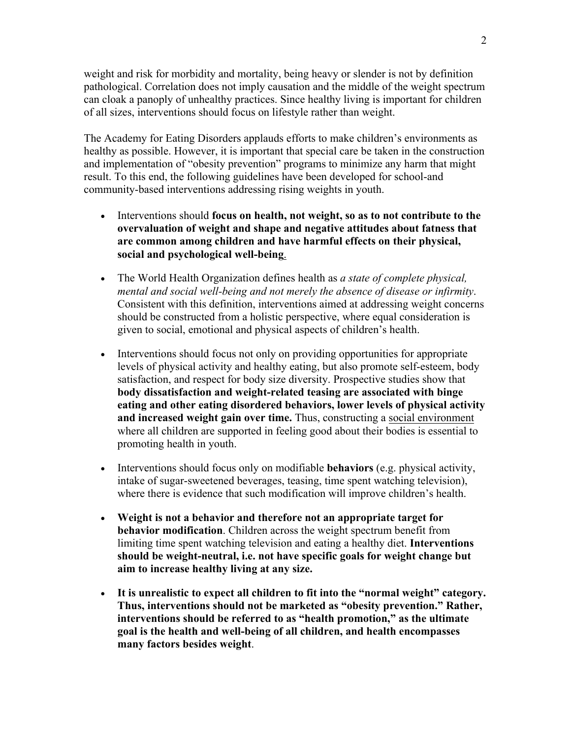weight and risk for morbidity and mortality, being heavy or slender is not by definition pathological. Correlation does not imply causation and the middle of the weight spectrum can cloak a panoply of unhealthy practices. Since healthy living is important for children of all sizes, interventions should focus on lifestyle rather than weight.

The Academy for Eating Disorders applauds efforts to make children's environments as healthy as possible. However, it is important that special care be taken in the construction and implementation of "obesity prevention" programs to minimize any harm that might result. To this end, the following guidelines have been developed for school-and community-based interventions addressing rising weights in youth.

- Interventions should **focus on health, not weight, so as to not contribute to the overvaluation of weight and shape and negative attitudes about fatness that are common among children and have harmful effects on their physical, social and psychological well-being**.
- The World Health Organization defines health as *a state of complete physical, mental and social well-being and not merely the absence of disease or infirmity*. Consistent with this definition, interventions aimed at addressing weight concerns should be constructed from a holistic perspective, where equal consideration is given to social, emotional and physical aspects of children's health.
- Interventions should focus not only on providing opportunities for appropriate levels of physical activity and healthy eating, but also promote self-esteem, body satisfaction, and respect for body size diversity. Prospective studies show that **body dissatisfaction and weight-related teasing are associated with binge eating and other eating disordered behaviors, lower levels of physical activity and increased weight gain over time.** Thus, constructing a social environment where all children are supported in feeling good about their bodies is essential to promoting health in youth.
- Interventions should focus only on modifiable **behaviors** (e.g. physical activity, intake of sugar-sweetened beverages, teasing, time spent watching television), where there is evidence that such modification will improve children's health.
- **Weight is not a behavior and therefore not an appropriate target for behavior modification**. Children across the weight spectrum benefit from limiting time spent watching television and eating a healthy diet. **Interventions should be weight-neutral, i.e. not have specific goals for weight change but aim to increase healthy living at any size.**
- **It is unrealistic to expect all children to fit into the "normal weight" category. Thus, interventions should not be marketed as "obesity prevention." Rather, interventions should be referred to as "health promotion," as the ultimate goal is the health and well-being of all children, and health encompasses many factors besides weight**.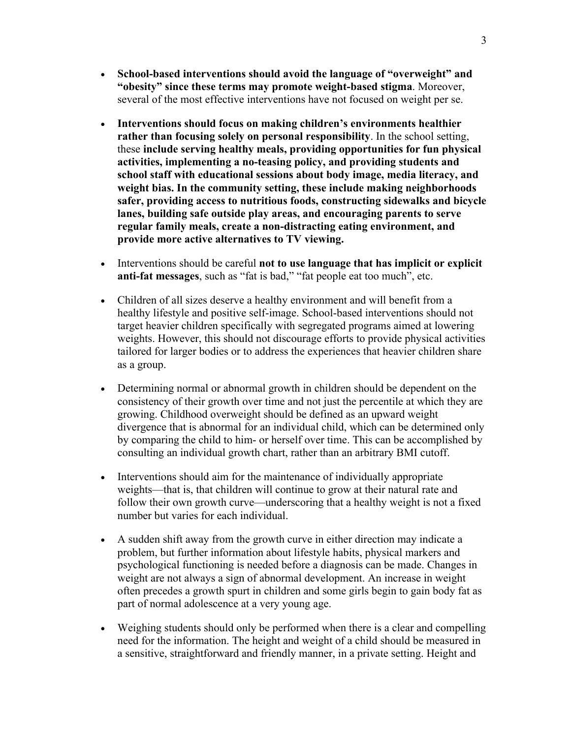- **School-based interventions should avoid the language of "overweight" and "obesity" since these terms may promote weight-based stigma**. Moreover, several of the most effective interventions have not focused on weight per se.
- **Interventions should focus on making children's environments healthier rather than focusing solely on personal responsibility**. In the school setting, these **include serving healthy meals, providing opportunities for fun physical activities, implementing a no-teasing policy, and providing students and school staff with educational sessions about body image, media literacy, and weight bias. In the community setting, these include making neighborhoods safer, providing access to nutritious foods, constructing sidewalks and bicycle lanes, building safe outside play areas, and encouraging parents to serve regular family meals, create a non-distracting eating environment, and provide more active alternatives to TV viewing.**
- Interventions should be careful **not to use language that has implicit or explicit anti-fat messages**, such as "fat is bad," "fat people eat too much", etc.
- Children of all sizes deserve a healthy environment and will benefit from a healthy lifestyle and positive self-image. School-based interventions should not target heavier children specifically with segregated programs aimed at lowering weights. However, this should not discourage efforts to provide physical activities tailored for larger bodies or to address the experiences that heavier children share as a group.
- Determining normal or abnormal growth in children should be dependent on the consistency of their growth over time and not just the percentile at which they are growing. Childhood overweight should be defined as an upward weight divergence that is abnormal for an individual child, which can be determined only by comparing the child to him- or herself over time. This can be accomplished by consulting an individual growth chart, rather than an arbitrary BMI cutoff.
- Interventions should aim for the maintenance of individually appropriate weights—that is, that children will continue to grow at their natural rate and follow their own growth curve—underscoring that a healthy weight is not a fixed number but varies for each individual.
- A sudden shift away from the growth curve in either direction may indicate a problem, but further information about lifestyle habits, physical markers and psychological functioning is needed before a diagnosis can be made. Changes in weight are not always a sign of abnormal development. An increase in weight often precedes a growth spurt in children and some girls begin to gain body fat as part of normal adolescence at a very young age.
- Weighing students should only be performed when there is a clear and compelling need for the information. The height and weight of a child should be measured in a sensitive, straightforward and friendly manner, in a private setting. Height and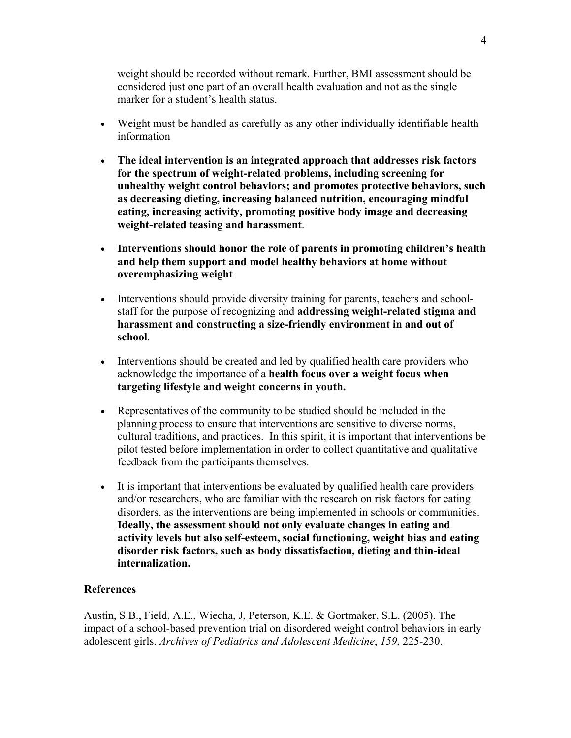weight should be recorded without remark. Further, BMI assessment should be considered just one part of an overall health evaluation and not as the single marker for a student's health status.

- Weight must be handled as carefully as any other individually identifiable health information
- **The ideal intervention is an integrated approach that addresses risk factors for the spectrum of weight-related problems, including screening for unhealthy weight control behaviors; and promotes protective behaviors, such as decreasing dieting, increasing balanced nutrition, encouraging mindful eating, increasing activity, promoting positive body image and decreasing weight-related teasing and harassment**.
- **Interventions should honor the role of parents in promoting children's health and help them support and model healthy behaviors at home without overemphasizing weight**.
- Interventions should provide diversity training for parents, teachers and schoolstaff for the purpose of recognizing and **addressing weight-related stigma and harassment and constructing a size-friendly environment in and out of school**.
- Interventions should be created and led by qualified health care providers who acknowledge the importance of a **health focus over a weight focus when targeting lifestyle and weight concerns in youth.**
- Representatives of the community to be studied should be included in the planning process to ensure that interventions are sensitive to diverse norms, cultural traditions, and practices. In this spirit, it is important that interventions be pilot tested before implementation in order to collect quantitative and qualitative feedback from the participants themselves.
- It is important that interventions be evaluated by qualified health care providers and/or researchers, who are familiar with the research on risk factors for eating disorders, as the interventions are being implemented in schools or communities. **Ideally, the assessment should not only evaluate changes in eating and activity levels but also self-esteem, social functioning, weight bias and eating disorder risk factors, such as body dissatisfaction, dieting and thin-ideal internalization.**

## **References**

Austin, S.B., Field, A.E., Wiecha, J, Peterson, K.E. & Gortmaker, S.L. (2005). The impact of a school-based prevention trial on disordered weight control behaviors in early adolescent girls. *Archives of Pediatrics and Adolescent Medicine*, *159*, 225-230.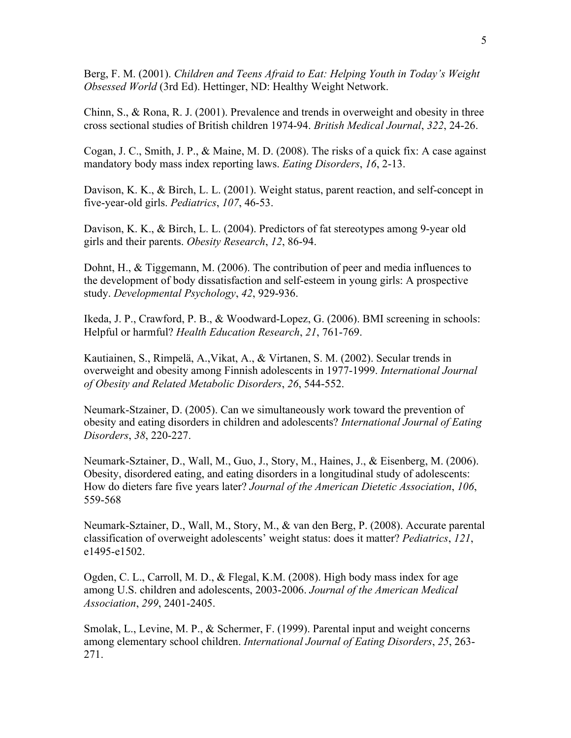Berg, F. M. (2001). *Children and Teens Afraid to Eat: Helping Youth in Today's Weight Obsessed World* (3rd Ed). Hettinger, ND: Healthy Weight Network.

Chinn, S., & Rona, R. J. (2001). Prevalence and trends in overweight and obesity in three cross sectional studies of British children 1974-94. *British Medical Journal*, *322*, 24-26.

Cogan, J. C., Smith, J. P., & Maine, M. D. (2008). The risks of a quick fix: A case against mandatory body mass index reporting laws. *Eating Disorders*, *16*, 2-13.

Davison, K. K., & Birch, L. L. (2001). Weight status, parent reaction, and self-concept in five-year-old girls. *Pediatrics*, *107*, 46-53.

Davison, K. K., & Birch, L. L. (2004). Predictors of fat stereotypes among 9-year old girls and their parents. *Obesity Research*, *12*, 86-94.

Dohnt, H., & Tiggemann, M. (2006). The contribution of peer and media influences to the development of body dissatisfaction and self-esteem in young girls: A prospective study. *Developmental Psychology*, *42*, 929-936.

Ikeda, J. P., Crawford, P. B., & Woodward-Lopez, G. (2006). BMI screening in schools: Helpful or harmful? *Health Education Research*, *21*, 761-769.

Kautiainen, S., Rimpelä, A.,Vikat, A., & Virtanen, S. M. (2002). Secular trends in overweight and obesity among Finnish adolescents in 1977-1999. *International Journal of Obesity and Related Metabolic Disorders*, *26*, 544-552.

Neumark-Stzainer, D. (2005). Can we simultaneously work toward the prevention of obesity and eating disorders in children and adolescents? *International Journal of Eating Disorders*, *38*, 220-227.

Neumark-Sztainer, D., Wall, M., Guo, J., Story, M., Haines, J., & Eisenberg, M. (2006). Obesity, disordered eating, and eating disorders in a longitudinal study of adolescents: How do dieters fare five years later? *Journal of the American Dietetic Association*, *106*, 559-568

Neumark-Sztainer, D., Wall, M., Story, M., & van den Berg, P. (2008). Accurate parental classification of overweight adolescents' weight status: does it matter? *Pediatrics*, *121*, e1495-e1502.

Ogden, C. L., Carroll, M. D., & Flegal, K.M. (2008). High body mass index for age among U.S. children and adolescents, 2003-2006. *Journal of the American Medical Association*, *299*, 2401-2405.

Smolak, L., Levine, M. P., & Schermer, F. (1999). Parental input and weight concerns among elementary school children. *International Journal of Eating Disorders*, *25*, 263- 271.